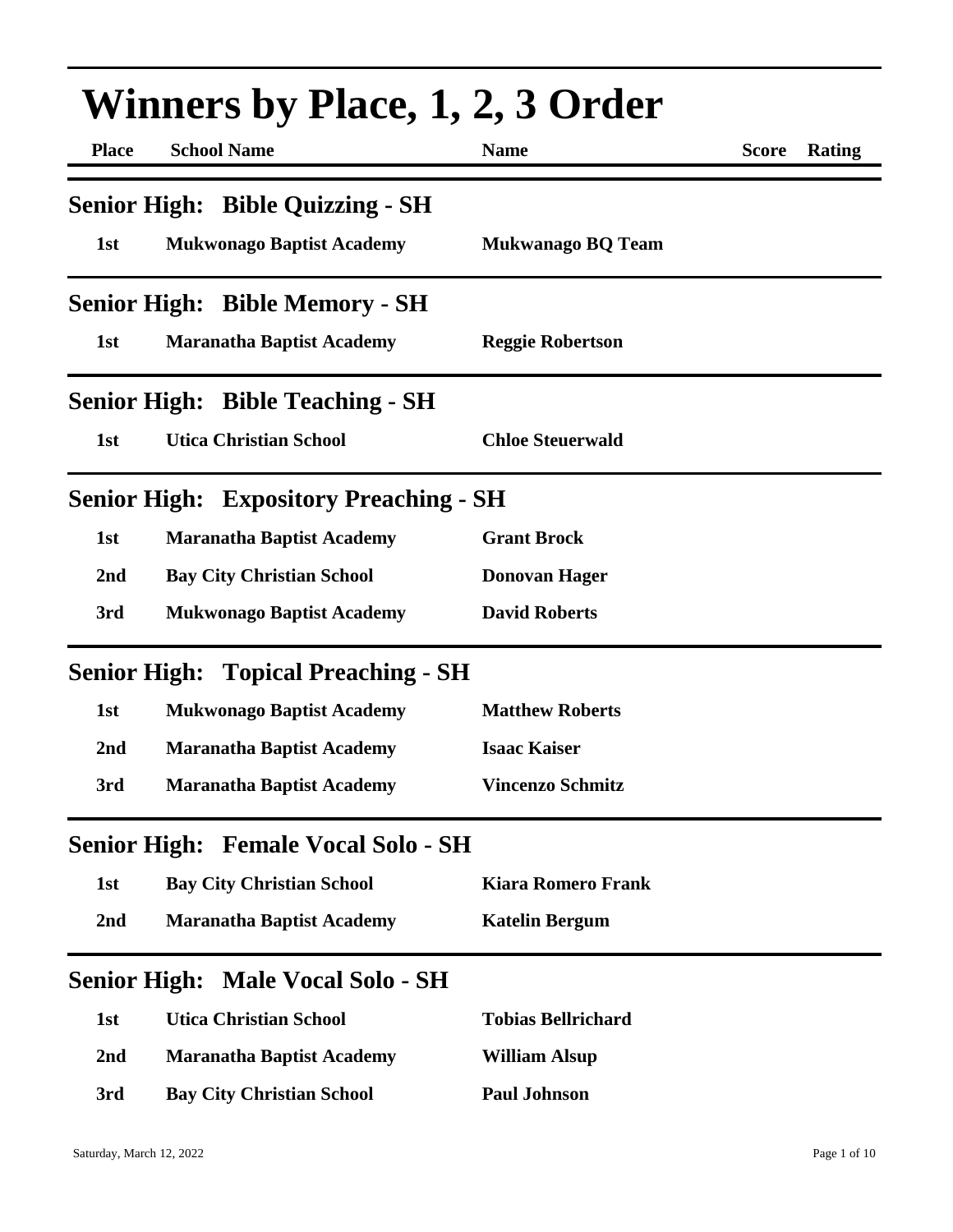| <b>Winners by Place, 1, 2, 3 Order</b> |                                               |                           |              |        |
|----------------------------------------|-----------------------------------------------|---------------------------|--------------|--------|
| <b>Place</b>                           | <b>School Name</b>                            | <b>Name</b>               | <b>Score</b> | Rating |
|                                        | <b>Senior High: Bible Quizzing - SH</b>       |                           |              |        |
| 1st                                    | <b>Mukwonago Baptist Academy</b>              | <b>Mukwanago BQ Team</b>  |              |        |
|                                        | <b>Senior High: Bible Memory - SH</b>         |                           |              |        |
| 1st                                    | <b>Maranatha Baptist Academy</b>              | <b>Reggie Robertson</b>   |              |        |
|                                        | <b>Senior High: Bible Teaching - SH</b>       |                           |              |        |
| 1st                                    | <b>Utica Christian School</b>                 | <b>Chloe Steuerwald</b>   |              |        |
|                                        | <b>Senior High: Expository Preaching - SH</b> |                           |              |        |
| 1st                                    | <b>Maranatha Baptist Academy</b>              | <b>Grant Brock</b>        |              |        |
| 2 <sub>nd</sub>                        | <b>Bay City Christian School</b>              | <b>Donovan Hager</b>      |              |        |
| 3rd                                    | <b>Mukwonago Baptist Academy</b>              | <b>David Roberts</b>      |              |        |
|                                        | <b>Senior High: Topical Preaching - SH</b>    |                           |              |        |
| 1st                                    | <b>Mukwonago Baptist Academy</b>              | <b>Matthew Roberts</b>    |              |        |
| 2nd                                    | <b>Maranatha Baptist Academy</b>              | <b>Isaac Kaiser</b>       |              |        |
| 3rd                                    | <b>Maranatha Baptist Academy</b>              | Vincenzo Schmitz          |              |        |
|                                        | <b>Senior High: Female Vocal Solo - SH</b>    |                           |              |        |
| 1st                                    | <b>Bay City Christian School</b>              | <b>Kiara Romero Frank</b> |              |        |
| 2nd                                    | <b>Maranatha Baptist Academy</b>              | <b>Katelin Bergum</b>     |              |        |
| <b>Senior High:</b>                    | <b>Male Vocal Solo - SH</b>                   |                           |              |        |
| 1st                                    | <b>Utica Christian School</b>                 | <b>Tobias Bellrichard</b> |              |        |
| 2nd                                    | <b>Maranatha Baptist Academy</b>              | <b>William Alsup</b>      |              |        |
| 3rd                                    | <b>Bay City Christian School</b>              | <b>Paul Johnson</b>       |              |        |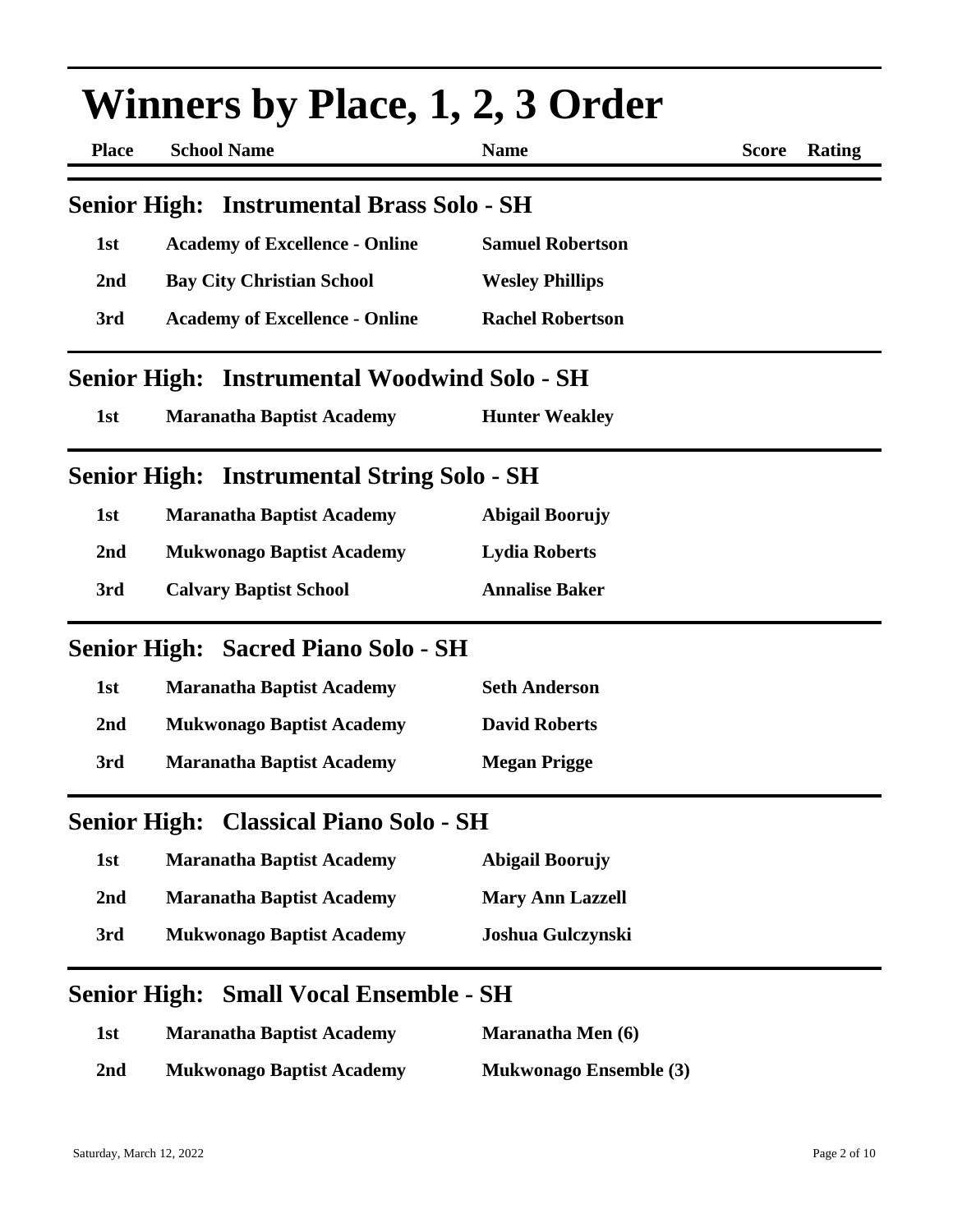| <b>Winners by Place, 1, 2, 3 Order</b> |                                                   |                          |                        |  |
|----------------------------------------|---------------------------------------------------|--------------------------|------------------------|--|
| <b>Place</b>                           | <b>School Name</b>                                | <b>Name</b>              | <b>Score</b><br>Rating |  |
|                                        | <b>Senior High: Instrumental Brass Solo - SH</b>  |                          |                        |  |
| 1st                                    | <b>Academy of Excellence - Online</b>             | <b>Samuel Robertson</b>  |                        |  |
| 2nd                                    | <b>Bay City Christian School</b>                  | <b>Wesley Phillips</b>   |                        |  |
| 3rd                                    | <b>Academy of Excellence - Online</b>             | <b>Rachel Robertson</b>  |                        |  |
| <b>Senior High:</b>                    | <b>Instrumental Woodwind Solo - SH</b>            |                          |                        |  |
| 1st                                    | <b>Maranatha Baptist Academy</b>                  | <b>Hunter Weakley</b>    |                        |  |
|                                        | <b>Senior High: Instrumental String Solo - SH</b> |                          |                        |  |
| 1st                                    | <b>Maranatha Baptist Academy</b>                  | <b>Abigail Boorujy</b>   |                        |  |
| 2nd                                    | <b>Mukwonago Baptist Academy</b>                  | <b>Lydia Roberts</b>     |                        |  |
| 3rd                                    | <b>Calvary Baptist School</b>                     | <b>Annalise Baker</b>    |                        |  |
|                                        | <b>Senior High: Sacred Piano Solo - SH</b>        |                          |                        |  |
| 1st                                    | <b>Maranatha Baptist Academy</b>                  | <b>Seth Anderson</b>     |                        |  |
| 2nd                                    | <b>Mukwonago Baptist Academy</b>                  | <b>David Roberts</b>     |                        |  |
| 3rd                                    | <b>Maranatha Baptist Academy</b>                  | <b>Megan Prigge</b>      |                        |  |
| <b>Senior High:</b>                    | <b>Classical Piano Solo - SH</b>                  |                          |                        |  |
| 1st                                    | <b>Maranatha Baptist Academy</b>                  | <b>Abigail Boorujy</b>   |                        |  |
| 2nd                                    | <b>Maranatha Baptist Academy</b>                  | <b>Mary Ann Lazzell</b>  |                        |  |
| 3rd                                    | <b>Mukwonago Baptist Academy</b>                  | Joshua Gulczynski        |                        |  |
| <b>Senior High:</b>                    | <b>Small Vocal Ensemble - SH</b>                  |                          |                        |  |
| 1st                                    | <b>Maranatha Baptist Academy</b>                  | <b>Maranatha Men (6)</b> |                        |  |

**2nd Mukwonago Baptist Academy Mukwonago Ensemble (3)**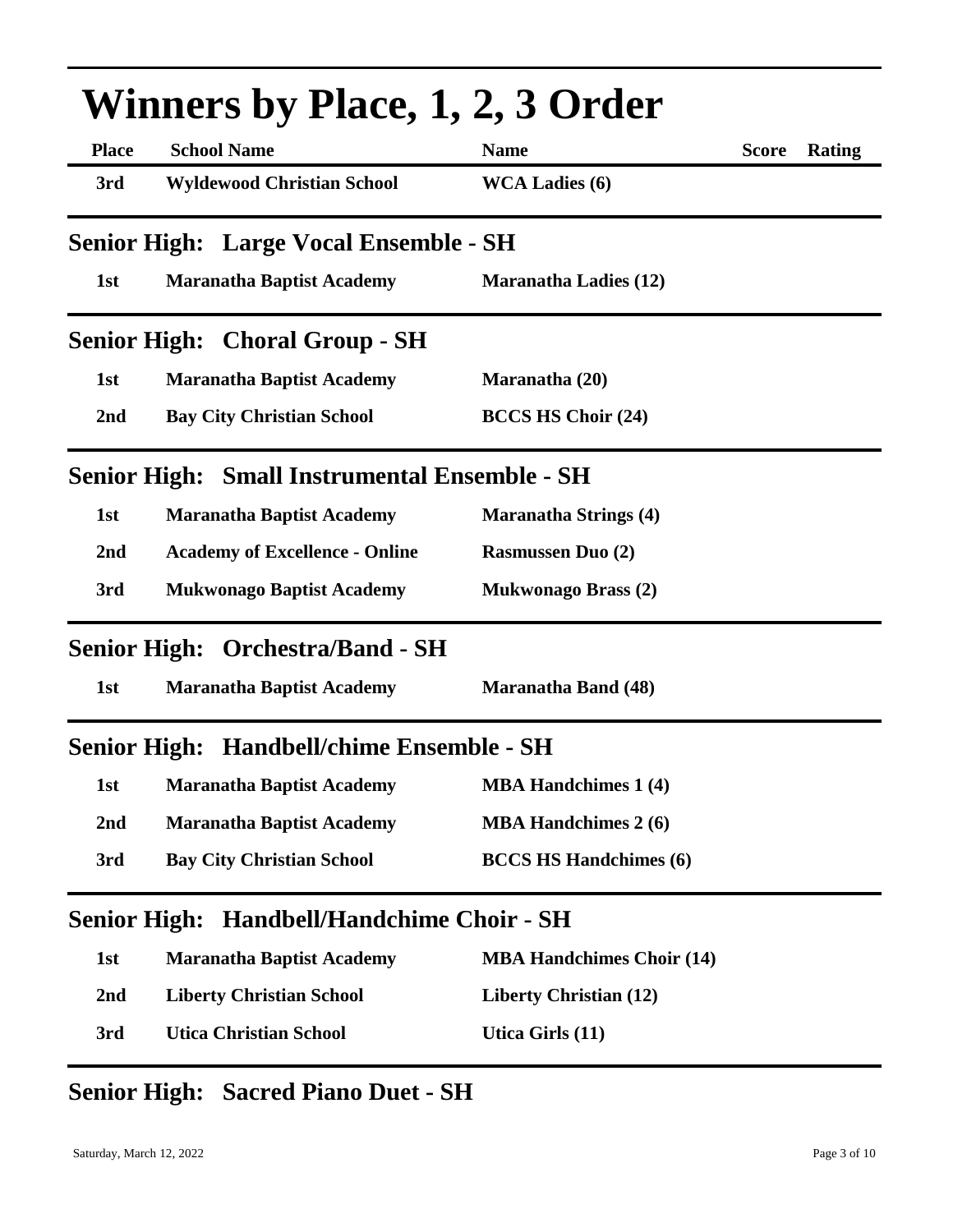|                     | <b>Winners by Place, 1, 2, 3 Order</b>        |                                  |              |        |  |
|---------------------|-----------------------------------------------|----------------------------------|--------------|--------|--|
| <b>Place</b>        | <b>School Name</b>                            | <b>Name</b>                      | <b>Score</b> | Rating |  |
| 3rd                 | <b>Wyldewood Christian School</b>             | <b>WCA Ladies (6)</b>            |              |        |  |
|                     | Senior High: Large Vocal Ensemble - SH        |                                  |              |        |  |
| 1st                 | <b>Maranatha Baptist Academy</b>              | <b>Maranatha Ladies (12)</b>     |              |        |  |
|                     | <b>Senior High: Choral Group - SH</b>         |                                  |              |        |  |
| 1st                 | <b>Maranatha Baptist Academy</b>              | Maranatha (20)                   |              |        |  |
| 2nd                 | <b>Bay City Christian School</b>              | <b>BCCS HS Choir (24)</b>        |              |        |  |
|                     | Senior High: Small Instrumental Ensemble - SH |                                  |              |        |  |
| 1st                 | <b>Maranatha Baptist Academy</b>              | <b>Maranatha Strings (4)</b>     |              |        |  |
| 2nd                 | <b>Academy of Excellence - Online</b>         | <b>Rasmussen Duo (2)</b>         |              |        |  |
| 3rd                 | <b>Mukwonago Baptist Academy</b>              | <b>Mukwonago Brass (2)</b>       |              |        |  |
|                     | <b>Senior High: Orchestra/Band - SH</b>       |                                  |              |        |  |
| 1st                 | <b>Maranatha Baptist Academy</b>              | <b>Maranatha Band (48)</b>       |              |        |  |
| <b>Senior High:</b> | <b>Handbell/chime Ensemble - SH</b>           |                                  |              |        |  |
| 1st                 | <b>Maranatha Baptist Academy</b>              | <b>MBA Handchimes 1 (4)</b>      |              |        |  |
| 2nd                 | <b>Maranatha Baptist Academy</b>              | <b>MBA Handchimes 2 (6)</b>      |              |        |  |
| 3rd                 | <b>Bay City Christian School</b>              | <b>BCCS HS Handchimes (6)</b>    |              |        |  |
| <b>Senior High:</b> | <b>Handbell/Handchime Choir - SH</b>          |                                  |              |        |  |
| 1st                 | <b>Maranatha Baptist Academy</b>              | <b>MBA Handchimes Choir (14)</b> |              |        |  |
| 2 <sub>nd</sub>     | <b>Liberty Christian School</b>               | <b>Liberty Christian (12)</b>    |              |        |  |
| 3rd                 | <b>Utica Christian School</b>                 | Utica Girls (11)                 |              |        |  |

## **Senior High: Sacred Piano Duet - SH**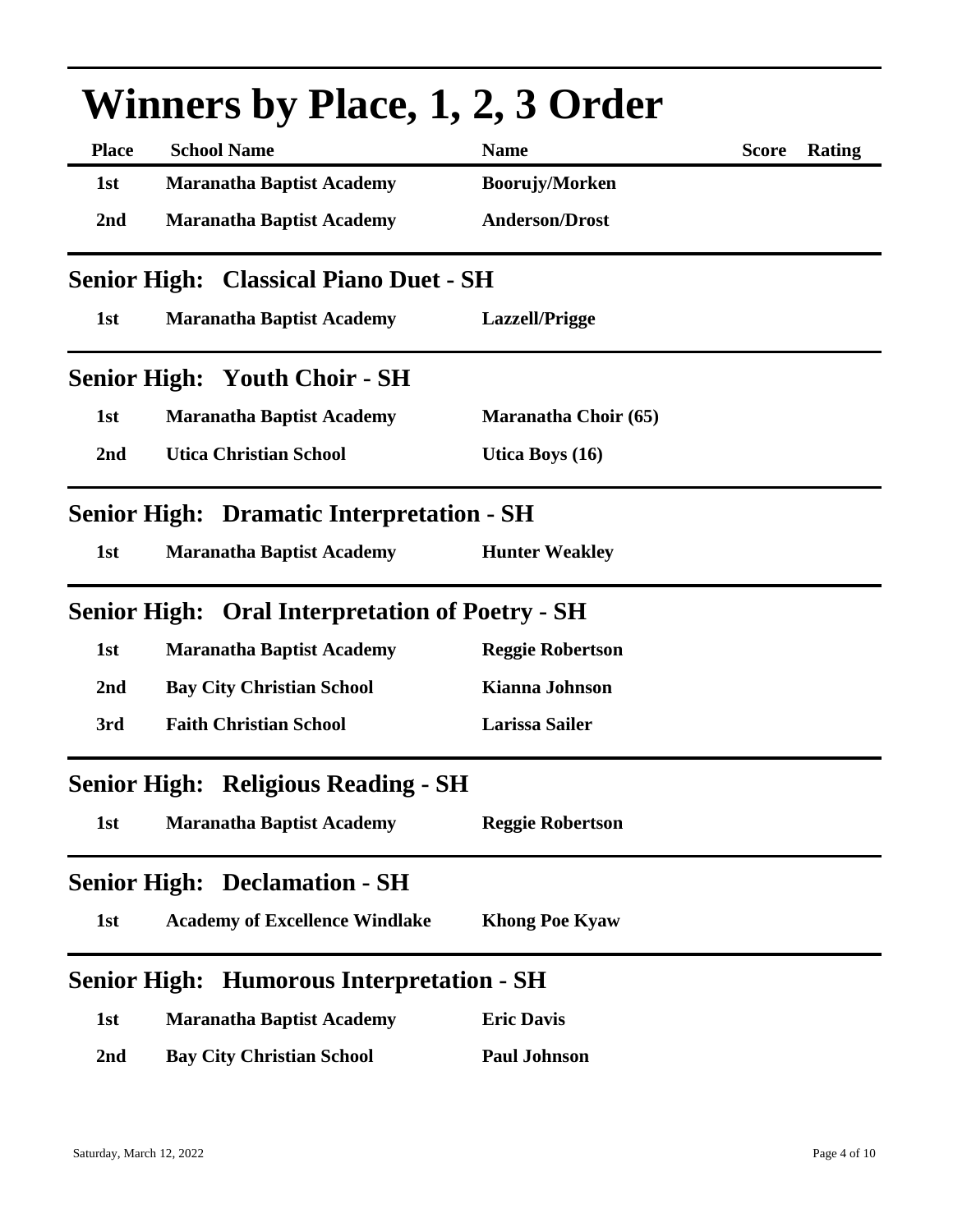| <b>Winners by Place, 1, 2, 3 Order</b> |                                                        |                             |              |        |
|----------------------------------------|--------------------------------------------------------|-----------------------------|--------------|--------|
| <b>Place</b>                           | <b>School Name</b>                                     | <b>Name</b>                 | <b>Score</b> | Rating |
| 1st                                    | <b>Maranatha Baptist Academy</b>                       | Boorujy/Morken              |              |        |
| 2nd                                    | <b>Maranatha Baptist Academy</b>                       | <b>Anderson/Drost</b>       |              |        |
|                                        | <b>Senior High: Classical Piano Duet - SH</b>          |                             |              |        |
| 1st                                    | <b>Maranatha Baptist Academy</b>                       | Lazzell/Prigge              |              |        |
|                                        | <b>Senior High: Youth Choir - SH</b>                   |                             |              |        |
| 1st                                    | <b>Maranatha Baptist Academy</b>                       | <b>Maranatha Choir (65)</b> |              |        |
| 2 <sub>nd</sub>                        | <b>Utica Christian School</b>                          | Utica Boys (16)             |              |        |
|                                        | <b>Senior High: Dramatic Interpretation - SH</b>       |                             |              |        |
| 1st                                    | <b>Maranatha Baptist Academy</b>                       | <b>Hunter Weakley</b>       |              |        |
|                                        | <b>Senior High: Oral Interpretation of Poetry - SH</b> |                             |              |        |
| 1st                                    | <b>Maranatha Baptist Academy</b>                       | <b>Reggie Robertson</b>     |              |        |
| 2nd                                    | <b>Bay City Christian School</b>                       | <b>Kianna Johnson</b>       |              |        |
| 3rd                                    | <b>Faith Christian School</b>                          | <b>Larissa Sailer</b>       |              |        |
|                                        | <b>Senior High: Religious Reading - SH</b>             |                             |              |        |
| 1st                                    | <b>Maranatha Baptist Academy</b>                       | <b>Reggie Robertson</b>     |              |        |
|                                        | <b>Senior High: Declamation - SH</b>                   |                             |              |        |
| 1st                                    | <b>Academy of Excellence Windlake</b>                  | <b>Khong Poe Kyaw</b>       |              |        |
| <b>Senior High:</b>                    | <b>Humorous Interpretation - SH</b>                    |                             |              |        |
| 1st                                    | <b>Maranatha Baptist Academy</b>                       | <b>Eric Davis</b>           |              |        |
| 2nd                                    | <b>Bay City Christian School</b>                       | <b>Paul Johnson</b>         |              |        |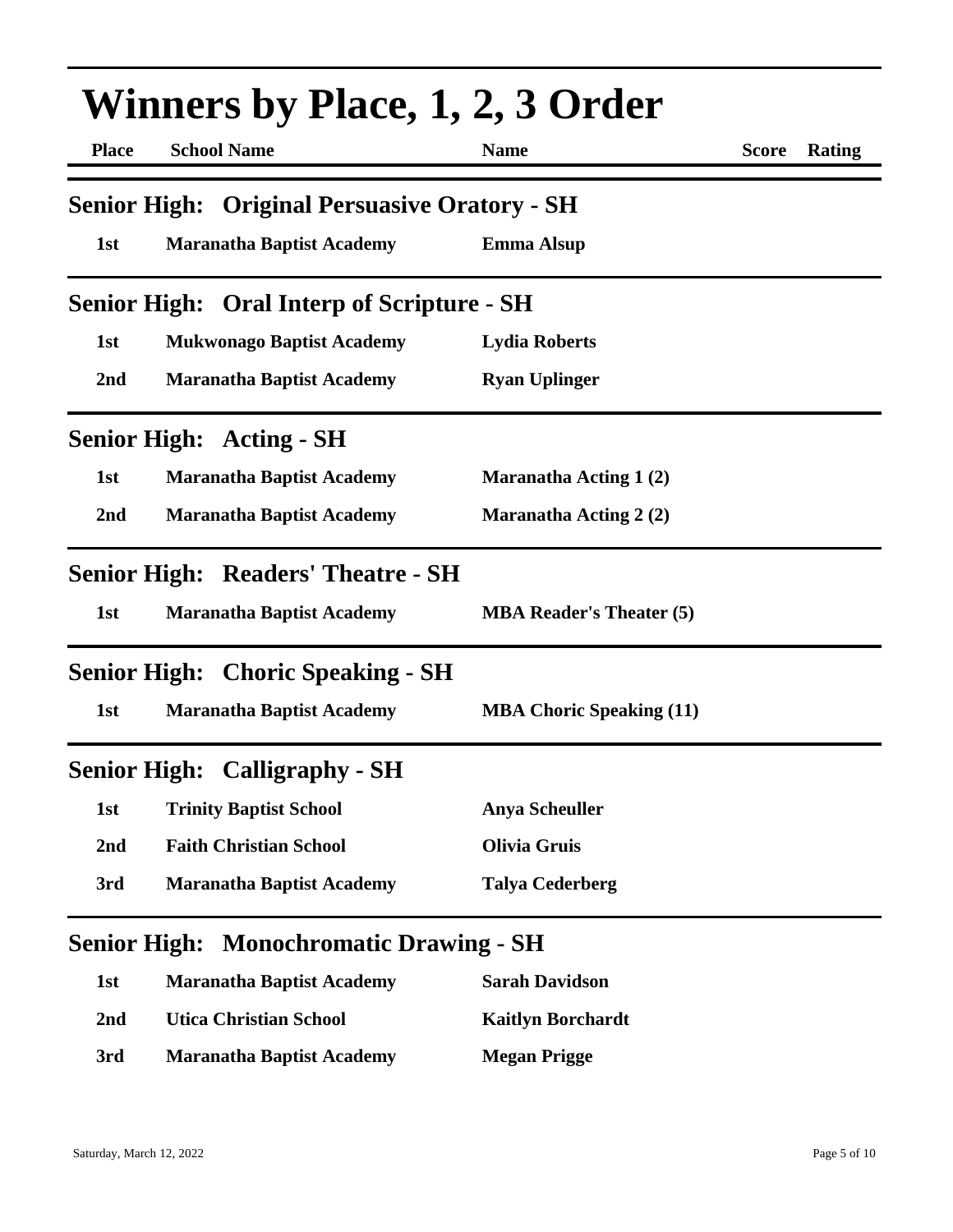| <b>Winners by Place, 1, 2, 3 Order</b> |                                                   |                                 |              |        |
|----------------------------------------|---------------------------------------------------|---------------------------------|--------------|--------|
| <b>Place</b>                           | <b>School Name</b>                                | <b>Name</b>                     | <b>Score</b> | Rating |
| <b>Senior High:</b>                    | <b>Original Persuasive Oratory - SH</b>           |                                 |              |        |
| 1st                                    | <b>Maranatha Baptist Academy</b>                  | <b>Emma Alsup</b>               |              |        |
|                                        | <b>Senior High: Oral Interp of Scripture - SH</b> |                                 |              |        |
| 1st                                    | <b>Mukwonago Baptist Academy</b>                  | <b>Lydia Roberts</b>            |              |        |
| 2nd                                    | <b>Maranatha Baptist Academy</b>                  | <b>Ryan Uplinger</b>            |              |        |
|                                        | <b>Senior High: Acting - SH</b>                   |                                 |              |        |
| 1st                                    | <b>Maranatha Baptist Academy</b>                  | <b>Maranatha Acting 1(2)</b>    |              |        |
| 2nd                                    | <b>Maranatha Baptist Academy</b>                  | <b>Maranatha Acting 2 (2)</b>   |              |        |
|                                        | <b>Senior High: Readers' Theatre - SH</b>         |                                 |              |        |
| 1st                                    | <b>Maranatha Baptist Academy</b>                  | <b>MBA Reader's Theater (5)</b> |              |        |
|                                        | <b>Senior High: Choric Speaking - SH</b>          |                                 |              |        |
| 1st                                    | <b>Maranatha Baptist Academy</b>                  | <b>MBA Choric Speaking (11)</b> |              |        |
|                                        | <b>Senior High: Calligraphy - SH</b>              |                                 |              |        |
| 1st                                    | <b>Trinity Baptist School</b>                     | <b>Anya Scheuller</b>           |              |        |
| 2nd                                    | <b>Faith Christian School</b>                     | <b>Olivia Gruis</b>             |              |        |
| 3rd                                    | <b>Maranatha Baptist Academy</b>                  | <b>Talya Cederberg</b>          |              |        |

## **Senior High: Monochromatic Drawing - SH**

| 1st | <b>Maranatha Baptist Academy</b> | <b>Sarah Davidson</b>    |
|-----|----------------------------------|--------------------------|
| 2nd | <b>Utica Christian School</b>    | <b>Kaitlyn Borchardt</b> |
| 3rd | <b>Maranatha Baptist Academy</b> | <b>Megan Prigge</b>      |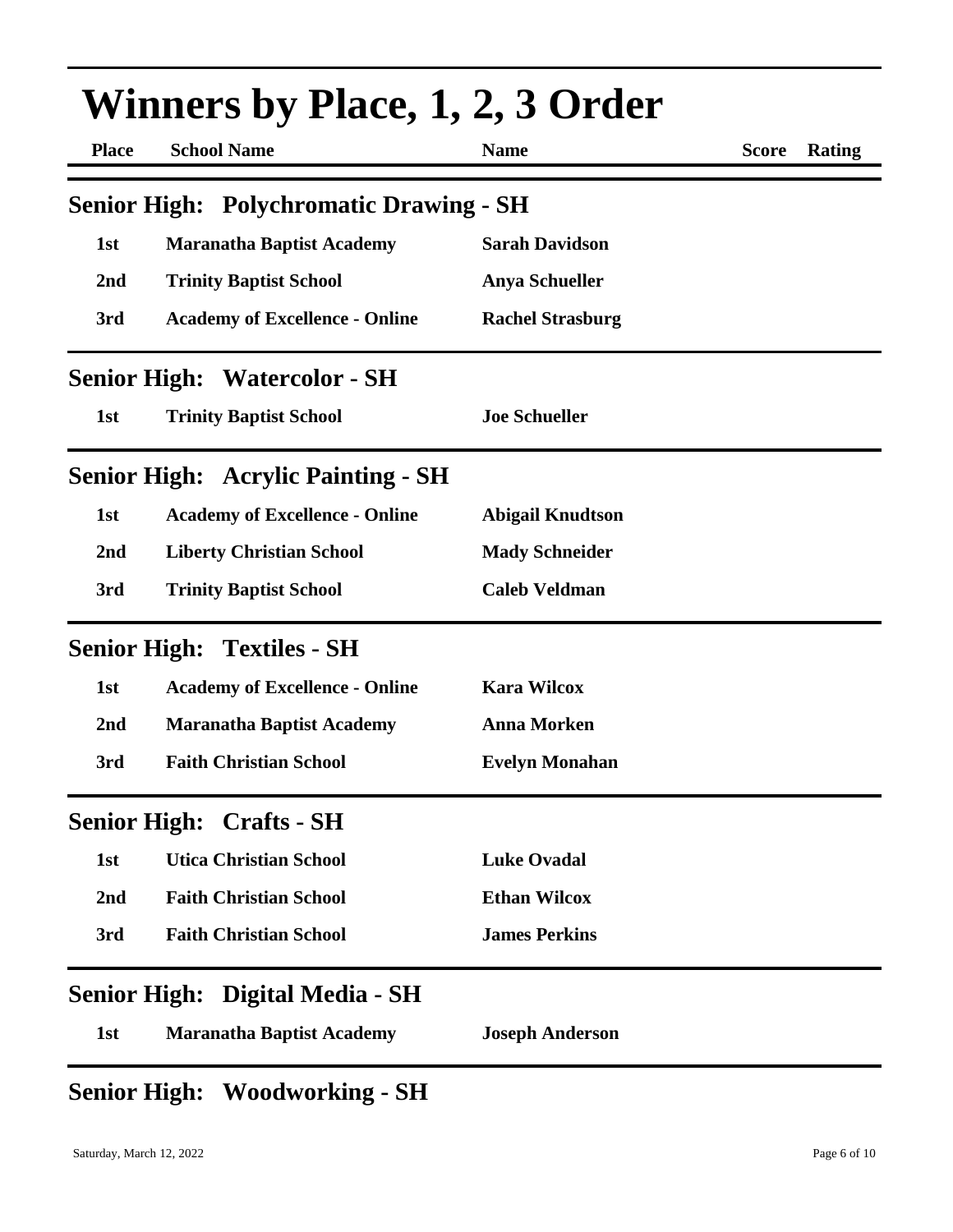| <b>Winners by Place, 1, 2, 3 Order</b> |                                                |                         |                               |  |
|----------------------------------------|------------------------------------------------|-------------------------|-------------------------------|--|
| <b>Place</b>                           | <b>School Name</b>                             | <b>Name</b>             | <b>Score</b><br><b>Rating</b> |  |
|                                        | <b>Senior High: Polychromatic Drawing - SH</b> |                         |                               |  |
| 1st                                    | <b>Maranatha Baptist Academy</b>               | <b>Sarah Davidson</b>   |                               |  |
| 2nd                                    | <b>Trinity Baptist School</b>                  | <b>Anya Schueller</b>   |                               |  |
| 3rd                                    | <b>Academy of Excellence - Online</b>          | <b>Rachel Strasburg</b> |                               |  |
|                                        | <b>Senior High: Watercolor - SH</b>            |                         |                               |  |
| 1st                                    | <b>Trinity Baptist School</b>                  | <b>Joe Schueller</b>    |                               |  |
|                                        | <b>Senior High: Acrylic Painting - SH</b>      |                         |                               |  |
| 1st                                    | <b>Academy of Excellence - Online</b>          | <b>Abigail Knudtson</b> |                               |  |
| 2nd                                    | <b>Liberty Christian School</b>                | <b>Mady Schneider</b>   |                               |  |
| 3rd                                    | <b>Trinity Baptist School</b>                  | <b>Caleb Veldman</b>    |                               |  |
|                                        | <b>Senior High: Textiles - SH</b>              |                         |                               |  |
| 1st                                    | <b>Academy of Excellence - Online</b>          | <b>Kara Wilcox</b>      |                               |  |
| 2nd                                    | <b>Maranatha Baptist Academy</b>               | <b>Anna Morken</b>      |                               |  |
| 3rd                                    | <b>Faith Christian School</b>                  | <b>Evelyn Monahan</b>   |                               |  |
|                                        | <b>Senior High: Crafts - SH</b>                |                         |                               |  |
| 1st                                    | <b>Utica Christian School</b>                  | <b>Luke Ovadal</b>      |                               |  |
| 2nd                                    | <b>Faith Christian School</b>                  | <b>Ethan Wilcox</b>     |                               |  |
| 3rd                                    | <b>Faith Christian School</b>                  | <b>James Perkins</b>    |                               |  |
|                                        | Senior High: Digital Media - SH                |                         |                               |  |
| 1st                                    | <b>Maranatha Baptist Academy</b>               | <b>Joseph Anderson</b>  |                               |  |

## **Senior High: Woodworking - SH**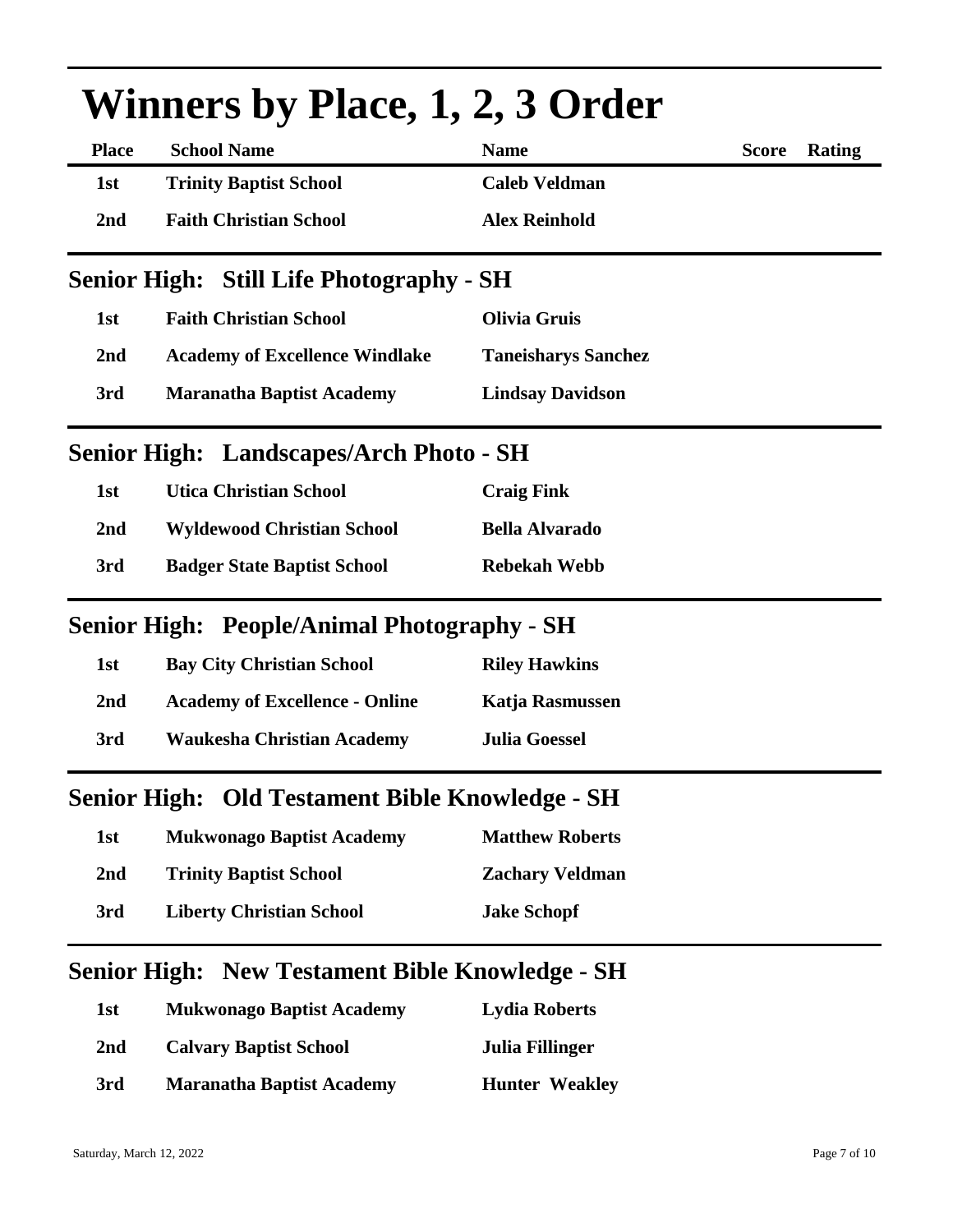| <b>Winners by Place, 1, 2, 3 Order</b> |                                                        |                            |                        |  |
|----------------------------------------|--------------------------------------------------------|----------------------------|------------------------|--|
| <b>Place</b>                           | <b>School Name</b>                                     | <b>Name</b>                | Rating<br><b>Score</b> |  |
| 1st                                    | <b>Trinity Baptist School</b>                          | <b>Caleb Veldman</b>       |                        |  |
| 2nd                                    | <b>Faith Christian School</b>                          | <b>Alex Reinhold</b>       |                        |  |
|                                        | <b>Senior High: Still Life Photography - SH</b>        |                            |                        |  |
| 1st                                    | <b>Faith Christian School</b>                          | <b>Olivia Gruis</b>        |                        |  |
| 2 <sub>nd</sub>                        | <b>Academy of Excellence Windlake</b>                  | <b>Taneisharys Sanchez</b> |                        |  |
| 3rd                                    | <b>Maranatha Baptist Academy</b>                       | <b>Lindsay Davidson</b>    |                        |  |
|                                        | Senior High: Landscapes/Arch Photo - SH                |                            |                        |  |
| 1st                                    | <b>Utica Christian School</b>                          | <b>Craig Fink</b>          |                        |  |
| 2nd                                    | <b>Wyldewood Christian School</b>                      | <b>Bella Alvarado</b>      |                        |  |
| 3rd                                    | <b>Badger State Baptist School</b>                     | <b>Rebekah Webb</b>        |                        |  |
|                                        | <b>Senior High: People/Animal Photography - SH</b>     |                            |                        |  |
| 1st                                    | <b>Bay City Christian School</b>                       | <b>Riley Hawkins</b>       |                        |  |
| 2 <sub>nd</sub>                        | <b>Academy of Excellence - Online</b>                  | Katja Rasmussen            |                        |  |
| 3rd                                    | <b>Waukesha Christian Academy</b>                      | <b>Julia Goessel</b>       |                        |  |
|                                        | Senior High: Old Testament Bible Knowledge - SH        |                            |                        |  |
| 1st                                    | <b>Mukwonago Baptist Academy</b>                       | <b>Matthew Roberts</b>     |                        |  |
| 2 <sub>nd</sub>                        | <b>Trinity Baptist School</b>                          | <b>Zachary Veldman</b>     |                        |  |
| 3rd                                    | <b>Liberty Christian School</b>                        | <b>Jake Schopf</b>         |                        |  |
|                                        | <b>Senior High: New Testament Bible Knowledge - SH</b> |                            |                        |  |
| 1st                                    | <b>Mukwonago Baptist Academy</b>                       | <b>Lydia Roberts</b>       |                        |  |
| 2nd                                    | <b>Calvary Baptist School</b>                          | <b>Julia Fillinger</b>     |                        |  |

**3rd Maranatha Baptist Academy Hunter Weakley**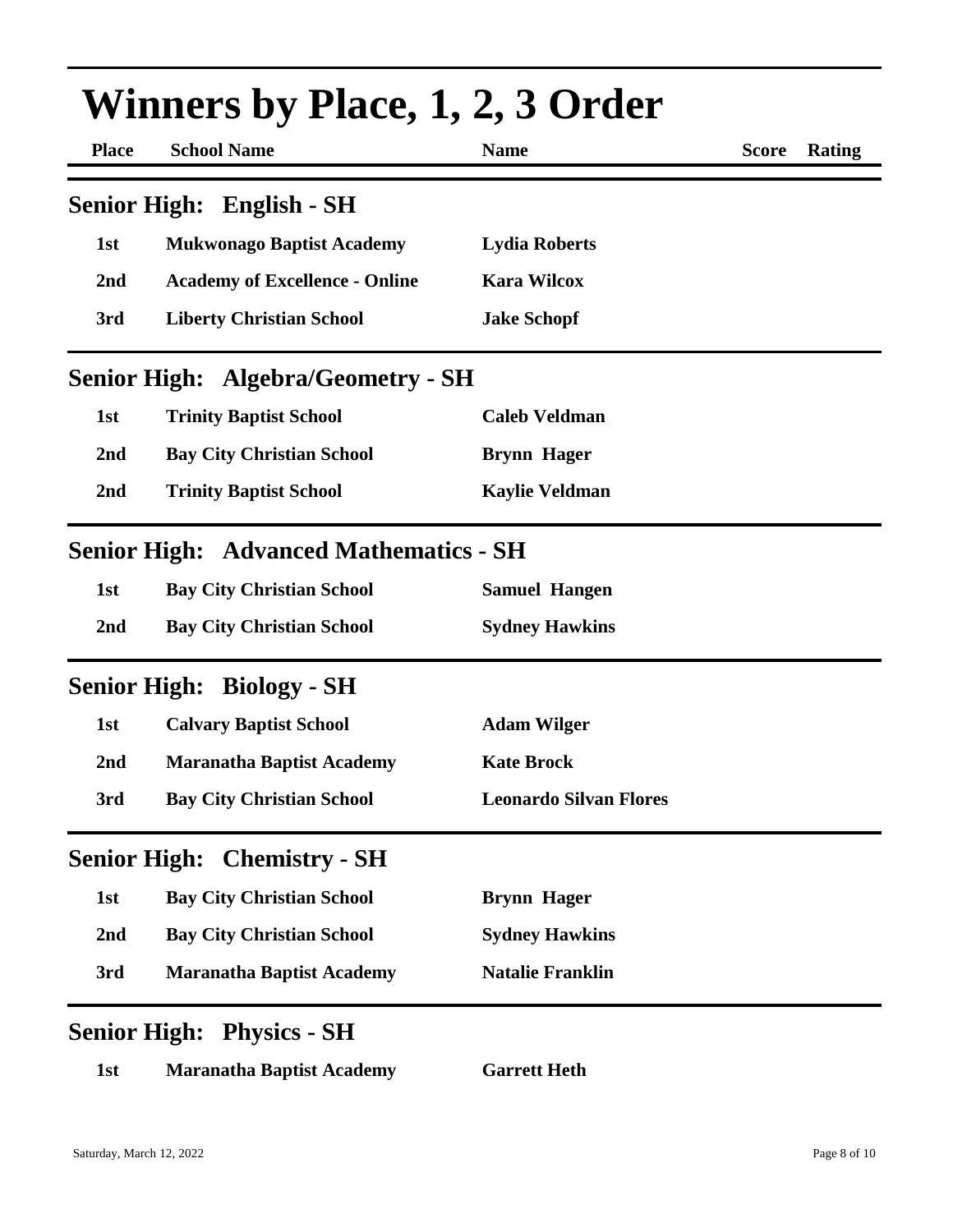| <b>Winners by Place, 1, 2, 3 Order</b> |                                               |                               |              |        |
|----------------------------------------|-----------------------------------------------|-------------------------------|--------------|--------|
| <b>Place</b>                           | <b>School Name</b>                            | <b>Name</b>                   | <b>Score</b> | Rating |
|                                        | Senior High: English - SH                     |                               |              |        |
| 1st                                    | <b>Mukwonago Baptist Academy</b>              | <b>Lydia Roberts</b>          |              |        |
| 2nd                                    | <b>Academy of Excellence - Online</b>         | <b>Kara Wilcox</b>            |              |        |
| 3rd                                    | <b>Liberty Christian School</b>               | <b>Jake Schopf</b>            |              |        |
|                                        | <b>Senior High: Algebra/Geometry - SH</b>     |                               |              |        |
| 1st                                    | <b>Trinity Baptist School</b>                 | <b>Caleb Veldman</b>          |              |        |
| 2nd                                    | <b>Bay City Christian School</b>              | <b>Brynn Hager</b>            |              |        |
| 2nd                                    | <b>Trinity Baptist School</b>                 | <b>Kaylie Veldman</b>         |              |        |
|                                        | <b>Senior High: Advanced Mathematics - SH</b> |                               |              |        |
| 1st                                    | <b>Bay City Christian School</b>              | <b>Samuel Hangen</b>          |              |        |
| 2nd                                    | <b>Bay City Christian School</b>              | <b>Sydney Hawkins</b>         |              |        |
|                                        | <b>Senior High: Biology - SH</b>              |                               |              |        |
| 1st                                    | <b>Calvary Baptist School</b>                 | <b>Adam Wilger</b>            |              |        |
| 2nd                                    | <b>Maranatha Baptist Academy</b>              | <b>Kate Brock</b>             |              |        |
| 3rd                                    | <b>Bay City Christian School</b>              | <b>Leonardo Silvan Flores</b> |              |        |
| <b>Senior High:</b>                    | <b>Chemistry - SH</b>                         |                               |              |        |
| 1st                                    | <b>Bay City Christian School</b>              | <b>Brynn Hager</b>            |              |        |
| 2nd                                    | <b>Bay City Christian School</b>              | <b>Sydney Hawkins</b>         |              |        |
| 3rd                                    | <b>Maranatha Baptist Academy</b>              | <b>Natalie Franklin</b>       |              |        |
|                                        | <b>Senior High: Physics - SH</b>              |                               |              |        |
| 1st                                    | <b>Maranatha Baptist Academy</b>              | <b>Garrett Heth</b>           |              |        |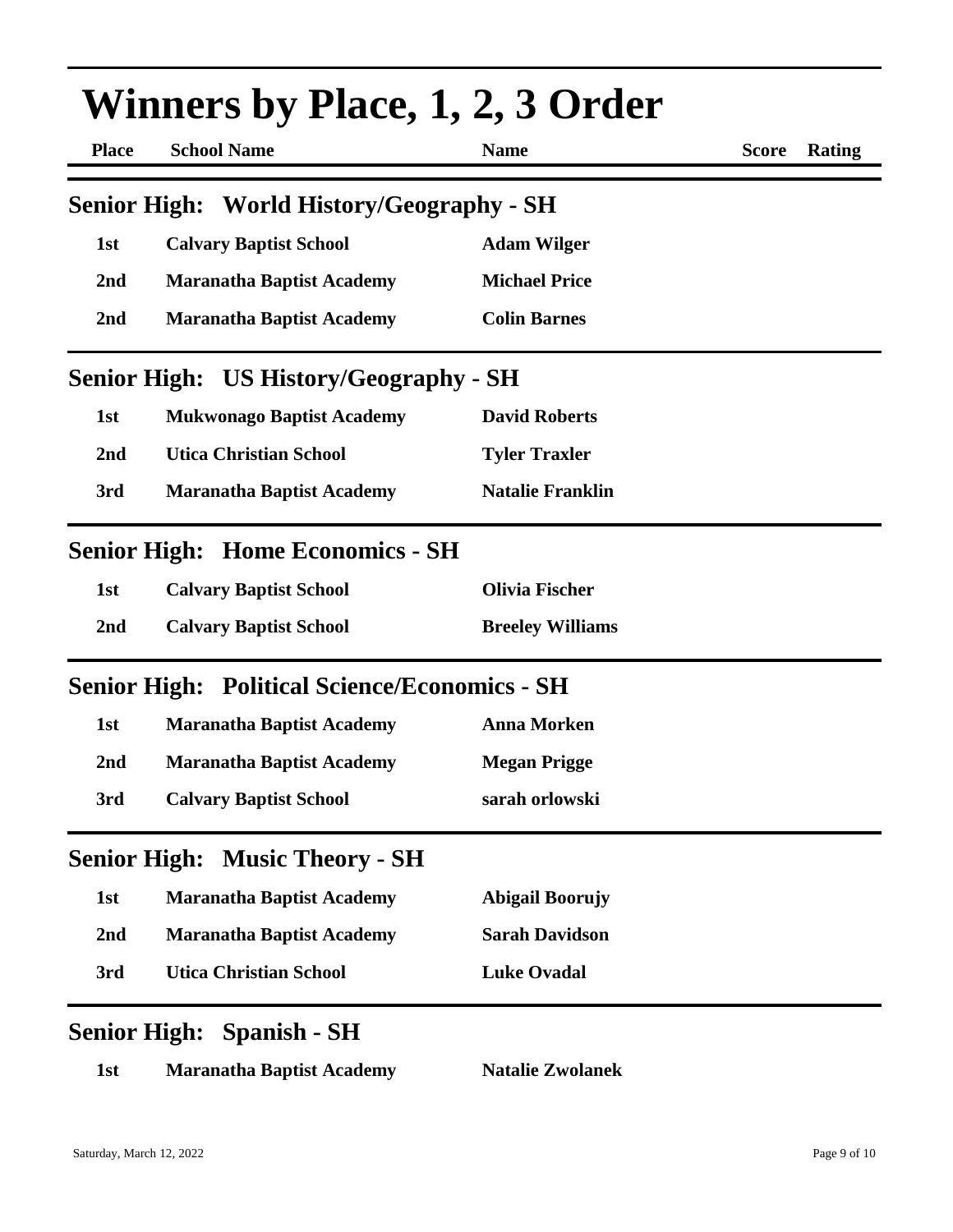| <b>Winners by Place, 1, 2, 3 Order</b> |                                                      |                         |                        |  |
|----------------------------------------|------------------------------------------------------|-------------------------|------------------------|--|
| <b>Place</b>                           | <b>School Name</b>                                   | <b>Name</b>             | <b>Score</b><br>Rating |  |
|                                        | Senior High: World History/Geography - SH            |                         |                        |  |
| 1st                                    | <b>Calvary Baptist School</b>                        | <b>Adam Wilger</b>      |                        |  |
| 2 <sub>nd</sub>                        | <b>Maranatha Baptist Academy</b>                     | <b>Michael Price</b>    |                        |  |
| 2 <sub>nd</sub>                        | <b>Maranatha Baptist Academy</b>                     | <b>Colin Barnes</b>     |                        |  |
|                                        | <b>Senior High: US History/Geography - SH</b>        |                         |                        |  |
| 1st                                    | <b>Mukwonago Baptist Academy</b>                     | <b>David Roberts</b>    |                        |  |
| 2 <sub>nd</sub>                        | <b>Utica Christian School</b>                        | <b>Tyler Traxler</b>    |                        |  |
| 3rd                                    | <b>Maranatha Baptist Academy</b>                     | <b>Natalie Franklin</b> |                        |  |
|                                        | <b>Senior High: Home Economics - SH</b>              |                         |                        |  |
| 1st                                    | <b>Calvary Baptist School</b>                        | <b>Olivia Fischer</b>   |                        |  |
| 2 <sub>nd</sub>                        | <b>Calvary Baptist School</b>                        | <b>Breeley Williams</b> |                        |  |
|                                        | <b>Senior High: Political Science/Economics - SH</b> |                         |                        |  |
| 1st                                    | <b>Maranatha Baptist Academy</b>                     | <b>Anna Morken</b>      |                        |  |
| 2 <sub>nd</sub>                        | <b>Maranatha Baptist Academy</b>                     | <b>Megan Prigge</b>     |                        |  |
| 3rd                                    | <b>Calvary Baptist School</b>                        | sarah orlowski          |                        |  |
|                                        | <b>Senior High: Music Theory - SH</b>                |                         |                        |  |
| 1st                                    | <b>Maranatha Baptist Academy</b>                     | <b>Abigail Boorujy</b>  |                        |  |
| 2nd                                    | <b>Maranatha Baptist Academy</b>                     | <b>Sarah Davidson</b>   |                        |  |
| 3rd                                    | <b>Utica Christian School</b>                        | <b>Luke Ovadal</b>      |                        |  |
|                                        | <b>Senior High: Spanish - SH</b>                     |                         |                        |  |
| 1st                                    | <b>Maranatha Baptist Academy</b>                     | <b>Natalie Zwolanek</b> |                        |  |